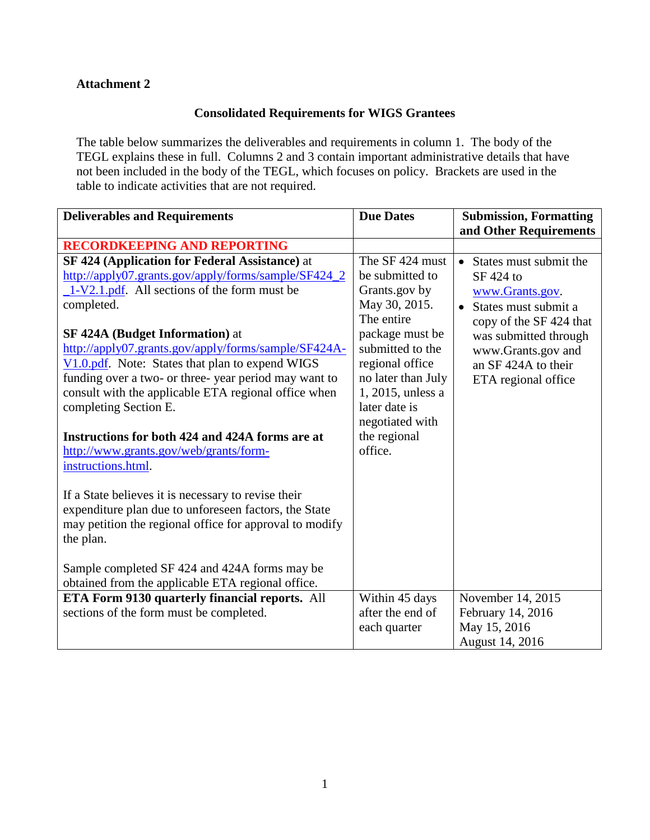## **Attachment 2**

## **Consolidated Requirements for WIGS Grantees**

The table below summarizes the deliverables and requirements in column 1. The body of the TEGL explains these in full. Columns 2 and 3 contain important administrative details that have not been included in the body of the TEGL, which focuses on policy. Brackets are used in the table to indicate activities that are not required.

| <b>Deliverables and Requirements</b>                                                                                                                                                                                                                                                                                                                                                                                                                                                                                                                                                                                                                                                                                                                                                                                                             | <b>Due Dates</b>                                                                                                                                                                                                                                          | <b>Submission, Formatting</b>                                                                                                                                                                                         |
|--------------------------------------------------------------------------------------------------------------------------------------------------------------------------------------------------------------------------------------------------------------------------------------------------------------------------------------------------------------------------------------------------------------------------------------------------------------------------------------------------------------------------------------------------------------------------------------------------------------------------------------------------------------------------------------------------------------------------------------------------------------------------------------------------------------------------------------------------|-----------------------------------------------------------------------------------------------------------------------------------------------------------------------------------------------------------------------------------------------------------|-----------------------------------------------------------------------------------------------------------------------------------------------------------------------------------------------------------------------|
|                                                                                                                                                                                                                                                                                                                                                                                                                                                                                                                                                                                                                                                                                                                                                                                                                                                  |                                                                                                                                                                                                                                                           | and Other Requirements                                                                                                                                                                                                |
| <b>RECORDKEEPING AND REPORTING</b>                                                                                                                                                                                                                                                                                                                                                                                                                                                                                                                                                                                                                                                                                                                                                                                                               |                                                                                                                                                                                                                                                           |                                                                                                                                                                                                                       |
| SF 424 (Application for Federal Assistance) at<br>http://apply07.grants.gov/apply/forms/sample/SF424_2<br>$1-V2.1.pdf$ . All sections of the form must be<br>completed.<br><b>SF 424A (Budget Information) at</b><br>http://apply07.grants.gov/apply/forms/sample/SF424A-<br>$\underline{V1.0.pdf}$ . Note: States that plan to expend WIGS<br>funding over a two- or three-year period may want to<br>consult with the applicable ETA regional office when<br>completing Section E.<br>Instructions for both 424 and 424A forms are at<br>http://www.grants.gov/web/grants/form-<br>instructions.html.<br>If a State believes it is necessary to revise their<br>expenditure plan due to unforeseen factors, the State<br>may petition the regional office for approval to modify<br>the plan.<br>Sample completed SF 424 and 424A forms may be | The SF 424 must<br>be submitted to<br>Grants.gov by<br>May 30, 2015.<br>The entire<br>package must be<br>submitted to the<br>regional office<br>no later than July<br>$1, 2015$ , unless a<br>later date is<br>negotiated with<br>the regional<br>office. | States must submit the<br>$\bullet$<br>SF 424 to<br>www.Grants.gov.<br>• States must submit a<br>copy of the SF 424 that<br>was submitted through<br>www.Grants.gov and<br>an SF 424A to their<br>ETA regional office |
| obtained from the applicable ETA regional office.<br>ETA Form 9130 quarterly financial reports. All                                                                                                                                                                                                                                                                                                                                                                                                                                                                                                                                                                                                                                                                                                                                              | Within 45 days                                                                                                                                                                                                                                            | November 14, 2015                                                                                                                                                                                                     |
| sections of the form must be completed.                                                                                                                                                                                                                                                                                                                                                                                                                                                                                                                                                                                                                                                                                                                                                                                                          | after the end of<br>each quarter                                                                                                                                                                                                                          | February 14, 2016<br>May 15, 2016<br>August 14, 2016                                                                                                                                                                  |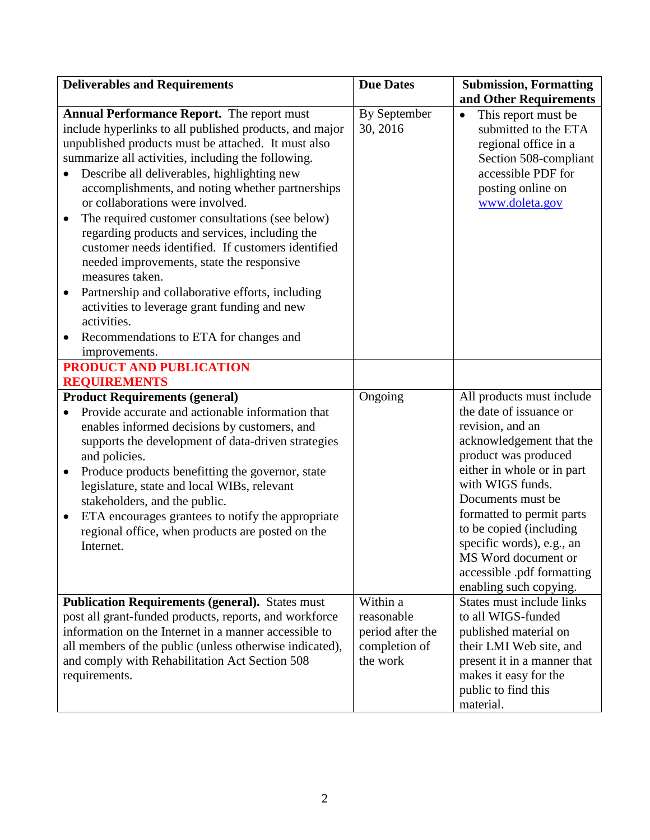| <b>Deliverables and Requirements</b>                                                                                                                                                                                                                                                                                                                                                                                                                                                                                                                                                                                                                                                                                                                                                   | <b>Due Dates</b>                                            | <b>Submission, Formatting</b>                                                                                                                                                                                                                                                                                                                                           |
|----------------------------------------------------------------------------------------------------------------------------------------------------------------------------------------------------------------------------------------------------------------------------------------------------------------------------------------------------------------------------------------------------------------------------------------------------------------------------------------------------------------------------------------------------------------------------------------------------------------------------------------------------------------------------------------------------------------------------------------------------------------------------------------|-------------------------------------------------------------|-------------------------------------------------------------------------------------------------------------------------------------------------------------------------------------------------------------------------------------------------------------------------------------------------------------------------------------------------------------------------|
| <b>Annual Performance Report.</b> The report must<br>include hyperlinks to all published products, and major<br>unpublished products must be attached. It must also<br>summarize all activities, including the following.<br>Describe all deliverables, highlighting new<br>accomplishments, and noting whether partnerships<br>or collaborations were involved.<br>The required customer consultations (see below)<br>regarding products and services, including the<br>customer needs identified. If customers identified<br>needed improvements, state the responsive<br>measures taken.<br>Partnership and collaborative efforts, including<br>$\bullet$<br>activities to leverage grant funding and new<br>activities.<br>Recommendations to ETA for changes and<br>improvements. | By September<br>30, 2016                                    | and Other Requirements<br>This report must be<br>$\bullet$<br>submitted to the ETA<br>regional office in a<br>Section 508-compliant<br>accessible PDF for<br>posting online on<br>www.doleta.gov                                                                                                                                                                        |
| <b>PRODUCT AND PUBLICATION</b>                                                                                                                                                                                                                                                                                                                                                                                                                                                                                                                                                                                                                                                                                                                                                         |                                                             |                                                                                                                                                                                                                                                                                                                                                                         |
| <b>REQUIREMENTS</b>                                                                                                                                                                                                                                                                                                                                                                                                                                                                                                                                                                                                                                                                                                                                                                    |                                                             |                                                                                                                                                                                                                                                                                                                                                                         |
| <b>Product Requirements (general)</b><br>Provide accurate and actionable information that<br>enables informed decisions by customers, and<br>supports the development of data-driven strategies<br>and policies.<br>Produce products benefitting the governor, state<br>$\bullet$<br>legislature, state and local WIBs, relevant<br>stakeholders, and the public.<br>ETA encourages grantees to notify the appropriate<br>$\bullet$<br>regional office, when products are posted on the<br>Internet.                                                                                                                                                                                                                                                                                   | Ongoing                                                     | All products must include<br>the date of issuance or<br>revision, and an<br>acknowledgement that the<br>product was produced<br>either in whole or in part<br>with WIGS funds.<br>Documents must be<br>formatted to permit parts<br>to be copied (including<br>specific words), e.g., an<br>MS Word document or<br>accessible .pdf formatting<br>enabling such copying. |
| <b>Publication Requirements (general).</b> States must                                                                                                                                                                                                                                                                                                                                                                                                                                                                                                                                                                                                                                                                                                                                 | Within a                                                    | States must include links                                                                                                                                                                                                                                                                                                                                               |
| post all grant-funded products, reports, and workforce<br>information on the Internet in a manner accessible to<br>all members of the public (unless otherwise indicated),<br>and comply with Rehabilitation Act Section 508<br>requirements.                                                                                                                                                                                                                                                                                                                                                                                                                                                                                                                                          | reasonable<br>period after the<br>completion of<br>the work | to all WIGS-funded<br>published material on<br>their LMI Web site, and<br>present it in a manner that<br>makes it easy for the<br>public to find this<br>material.                                                                                                                                                                                                      |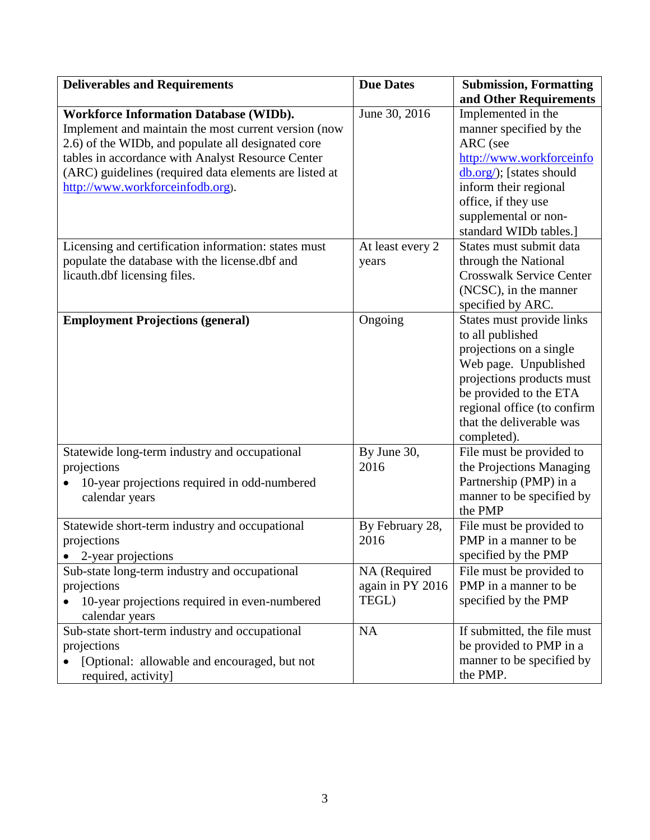| <b>Deliverables and Requirements</b>                   | <b>Due Dates</b> | <b>Submission, Formatting</b>                |
|--------------------------------------------------------|------------------|----------------------------------------------|
|                                                        |                  | and Other Requirements                       |
| <b>Workforce Information Database (WIDb).</b>          | June 30, 2016    | Implemented in the                           |
| Implement and maintain the most current version (now   |                  | manner specified by the                      |
| 2.6) of the WIDb, and populate all designated core     |                  | ARC (see                                     |
| tables in accordance with Analyst Resource Center      |                  | http://www.workforceinfo                     |
| (ARC) guidelines (required data elements are listed at |                  | $\underline{\text{db.org}}$ ; [states should |
| http://www.workforceinfodb.org).                       |                  | inform their regional                        |
|                                                        |                  | office, if they use                          |
|                                                        |                  | supplemental or non-                         |
|                                                        |                  | standard WIDb tables.]                       |
| Licensing and certification information: states must   | At least every 2 | States must submit data                      |
| populate the database with the license.dbf and         | years            | through the National                         |
| licauth.dbf licensing files.                           |                  | <b>Crosswalk Service Center</b>              |
|                                                        |                  | (NCSC), in the manner                        |
|                                                        |                  | specified by ARC.                            |
| <b>Employment Projections (general)</b>                | Ongoing          | States must provide links                    |
|                                                        |                  | to all published                             |
|                                                        |                  | projections on a single                      |
|                                                        |                  | Web page. Unpublished                        |
|                                                        |                  | projections products must                    |
|                                                        |                  | be provided to the ETA                       |
|                                                        |                  | regional office (to confirm                  |
|                                                        |                  | that the deliverable was                     |
|                                                        |                  | completed).                                  |
| Statewide long-term industry and occupational          | By June 30,      | File must be provided to                     |
| projections                                            | 2016             | the Projections Managing                     |
| 10-year projections required in odd-numbered           |                  | Partnership (PMP) in a                       |
| calendar years                                         |                  | manner to be specified by                    |
|                                                        |                  | the PMP                                      |
| Statewide short-term industry and occupational         | By February 28,  | File must be provided to                     |
| projections                                            | 2016             | PMP in a manner to be                        |
| 2-year projections                                     |                  | specified by the PMP                         |
| Sub-state long-term industry and occupational          | NA (Required     | File must be provided to                     |
| projections                                            | again in PY 2016 | PMP in a manner to be                        |
| 10-year projections required in even-numbered          | TEGL)            | specified by the PMP                         |
| calendar years                                         |                  |                                              |
| Sub-state short-term industry and occupational         | <b>NA</b>        | If submitted, the file must                  |
|                                                        |                  |                                              |
| projections                                            |                  | be provided to PMP in a                      |
| [Optional: allowable and encouraged, but not           |                  | manner to be specified by                    |
| required, activity]                                    |                  | the PMP.                                     |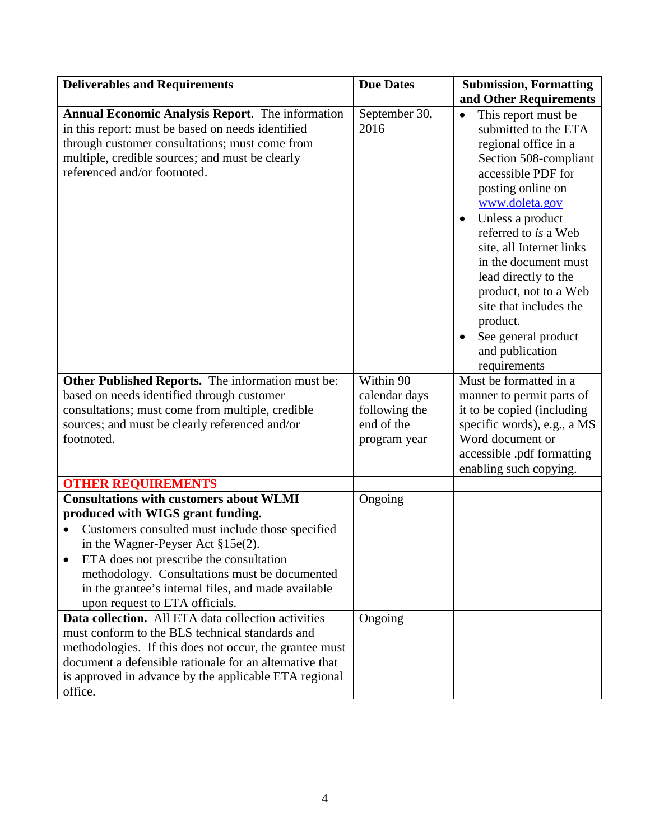| <b>Deliverables and Requirements</b>                                                                                                                                                                                                                                                                                                                              | <b>Due Dates</b>                                                          | <b>Submission, Formatting</b>                                                                                                                                                                                                                                                                                                                                                                                                                     |
|-------------------------------------------------------------------------------------------------------------------------------------------------------------------------------------------------------------------------------------------------------------------------------------------------------------------------------------------------------------------|---------------------------------------------------------------------------|---------------------------------------------------------------------------------------------------------------------------------------------------------------------------------------------------------------------------------------------------------------------------------------------------------------------------------------------------------------------------------------------------------------------------------------------------|
| <b>Annual Economic Analysis Report.</b> The information<br>in this report: must be based on needs identified<br>through customer consultations; must come from<br>multiple, credible sources; and must be clearly<br>referenced and/or footnoted.                                                                                                                 | September 30,<br>2016                                                     | and Other Requirements<br>This report must be<br>$\bullet$<br>submitted to the ETA<br>regional office in a<br>Section 508-compliant<br>accessible PDF for<br>posting online on<br>www.doleta.gov<br>Unless a product<br>referred to is a Web<br>site, all Internet links<br>in the document must<br>lead directly to the<br>product, not to a Web<br>site that includes the<br>product.<br>See general product<br>and publication<br>requirements |
| Other Published Reports. The information must be:<br>based on needs identified through customer<br>consultations; must come from multiple, credible<br>sources; and must be clearly referenced and/or<br>footnoted.                                                                                                                                               | Within 90<br>calendar days<br>following the<br>end of the<br>program year | Must be formatted in a<br>manner to permit parts of<br>it to be copied (including<br>specific words), e.g., a MS<br>Word document or<br>accessible .pdf formatting<br>enabling such copying.                                                                                                                                                                                                                                                      |
| <b>OTHER REQUIREMENTS</b>                                                                                                                                                                                                                                                                                                                                         |                                                                           |                                                                                                                                                                                                                                                                                                                                                                                                                                                   |
| <b>Consultations with customers about WLMI</b><br>produced with WIGS grant funding.<br>Customers consulted must include those specified<br>in the Wagner-Peyser Act §15e(2).<br>ETA does not prescribe the consultation<br>methodology. Consultations must be documented<br>in the grantee's internal files, and made available<br>upon request to ETA officials. | Ongoing                                                                   |                                                                                                                                                                                                                                                                                                                                                                                                                                                   |
| Data collection. All ETA data collection activities<br>must conform to the BLS technical standards and<br>methodologies. If this does not occur, the grantee must<br>document a defensible rationale for an alternative that<br>is approved in advance by the applicable ETA regional<br>office.                                                                  | Ongoing                                                                   |                                                                                                                                                                                                                                                                                                                                                                                                                                                   |